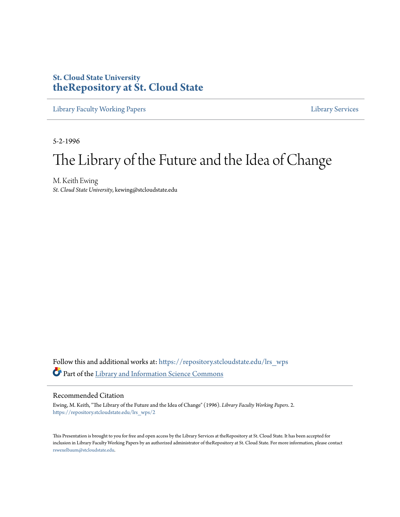## **St. Cloud State University [theRepository at St. Cloud State](https://repository.stcloudstate.edu?utm_source=repository.stcloudstate.edu%2Flrs_wps%2F2&utm_medium=PDF&utm_campaign=PDFCoverPages)**

[Library Faculty Working Papers](https://repository.stcloudstate.edu/lrs_wps?utm_source=repository.stcloudstate.edu%2Flrs_wps%2F2&utm_medium=PDF&utm_campaign=PDFCoverPages) [Library Services](https://repository.stcloudstate.edu/ls?utm_source=repository.stcloudstate.edu%2Flrs_wps%2F2&utm_medium=PDF&utm_campaign=PDFCoverPages)

5-2-1996

## The Library of the Future and the Idea of Change

M. Keith Ewing *St. Cloud State University*, kewing@stcloudstate.edu

Follow this and additional works at: [https://repository.stcloudstate.edu/lrs\\_wps](https://repository.stcloudstate.edu/lrs_wps?utm_source=repository.stcloudstate.edu%2Flrs_wps%2F2&utm_medium=PDF&utm_campaign=PDFCoverPages) Part of the [Library and Information Science Commons](http://network.bepress.com/hgg/discipline/1018?utm_source=repository.stcloudstate.edu%2Flrs_wps%2F2&utm_medium=PDF&utm_campaign=PDFCoverPages)

## Recommended Citation

Ewing, M. Keith, "The Library of the Future and the Idea of Change" (1996). *Library Faculty Working Papers*. 2. [https://repository.stcloudstate.edu/lrs\\_wps/2](https://repository.stcloudstate.edu/lrs_wps/2?utm_source=repository.stcloudstate.edu%2Flrs_wps%2F2&utm_medium=PDF&utm_campaign=PDFCoverPages)

This Presentation is brought to you for free and open access by the Library Services at theRepository at St. Cloud State. It has been accepted for inclusion in Library Faculty Working Papers by an authorized administrator of theRepository at St. Cloud State. For more information, please contact [rswexelbaum@stcloudstate.edu](mailto:rswexelbaum@stcloudstate.edu).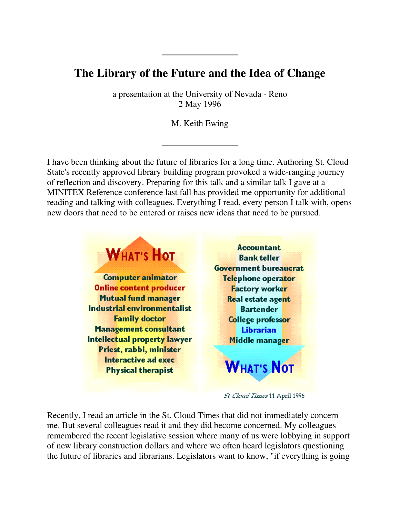## **The Library of the Future and the Idea of Change**

a presentation at the University of Nevada - Reno 2 May 1996

M. Keith Ewing

I have been thinking about the future of libraries for a long time. Authoring St. Cloud State's recently approved library building program provoked a wide-ranging journey of reflection and discovery. Preparing for this talk and a similar talk I gave at a MINITEX Reference conference last fall has provided me opportunity for additional reading and talking with colleagues. Everything I read, every person I talk with, opens new doors that need to be entered or raises new ideas that need to be pursued.



57. Cloud Times 11 April 1996

Recently, I read an article in the St. Cloud Times that did not immediately concern me. But several colleagues read it and they did become concerned. My colleagues remembered the recent legislative session where many of us were lobbying in support of new library construction dollars and where we often heard legislators questioning the future of libraries and librarians. Legislators want to know, "if everything is going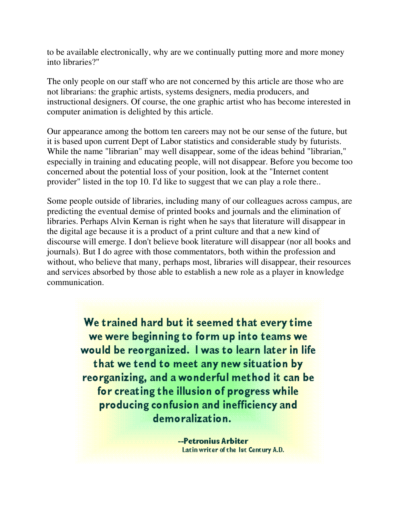to be available electronically, why are we continually putting more and more money into libraries?"

The only people on our staff who are not concerned by this article are those who are not librarians: the graphic artists, systems designers, media producers, and instructional designers. Of course, the one graphic artist who has become interested in computer animation is delighted by this article.

Our appearance among the bottom ten careers may not be our sense of the future, but it is based upon current Dept of Labor statistics and considerable study by futurists. While the name "librarian" may well disappear, some of the ideas behind "librarian," especially in training and educating people, will not disappear. Before you become too concerned about the potential loss of your position, look at the "Internet content provider" listed in the top 10. I'd like to suggest that we can play a role there..

Some people outside of libraries, including many of our colleagues across campus, are predicting the eventual demise of printed books and journals and the elimination of libraries. Perhaps Alvin Kernan is right when he says that literature will disappear in the digital age because it is a product of a print culture and that a new kind of discourse will emerge. I don't believe book literature will disappear (nor all books and journals). But I do agree with those commentators, both within the profession and without, who believe that many, perhaps most, libraries will disappear, their resources and services absorbed by those able to establish a new role as a player in knowledge communication.

> We trained hard but it seemed that every time we were beginning to form up into teams we would be reorganized. I was to learn later in life that we tend to meet any new situation by reorganizing, and a wonderful method it can be for creating the illusion of progress while producing confusion and inefficiency and demoralization.

> > --Petronius Arbiter Latin writer of the 1st Century A.D.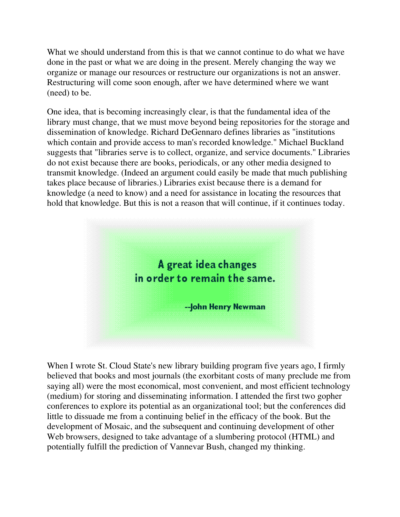What we should understand from this is that we cannot continue to do what we have done in the past or what we are doing in the present. Merely changing the way we organize or manage our resources or restructure our organizations is not an answer. Restructuring will come soon enough, after we have determined where we want (need) to be.

One idea, that is becoming increasingly clear, is that the fundamental idea of the library must change, that we must move beyond being repositories for the storage and dissemination of knowledge. Richard DeGennaro defines libraries as "institutions which contain and provide access to man's recorded knowledge." Michael Buckland suggests that "libraries serve is to collect, organize, and service documents." Libraries do not exist because there are books, periodicals, or any other media designed to transmit knowledge. (Indeed an argument could easily be made that much publishing takes place because of libraries.) Libraries exist because there is a demand for knowledge (a need to know) and a need for assistance in locating the resources that hold that knowledge. But this is not a reason that will continue, if it continues today.



When I wrote St. Cloud State's new library building program five years ago, I firmly believed that books and most journals (the exorbitant costs of many preclude me from saying all) were the most economical, most convenient, and most efficient technology (medium) for storing and disseminating information. I attended the first two gopher conferences to explore its potential as an organizational tool; but the conferences did little to dissuade me from a continuing belief in the efficacy of the book. But the development of Mosaic, and the subsequent and continuing development of other Web browsers, designed to take advantage of a slumbering protocol (HTML) and potentially fulfill the prediction of Vannevar Bush, changed my thinking.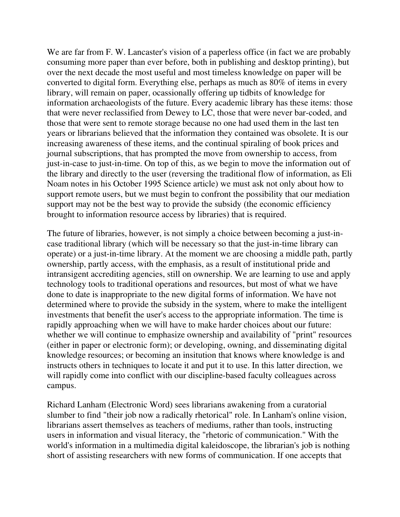We are far from F. W. Lancaster's vision of a paperless office (in fact we are probably consuming more paper than ever before, both in publishing and desktop printing), but over the next decade the most useful and most timeless knowledge on paper will be converted to digital form. Everything else, perhaps as much as 80% of items in every library, will remain on paper, ocassionally offering up tidbits of knowledge for information archaeologists of the future. Every academic library has these items: those that were never reclassified from Dewey to LC, those that were never bar-coded, and those that were sent to remote storage because no one had used them in the last ten years or librarians believed that the information they contained was obsolete. It is our increasing awareness of these items, and the continual spiraling of book prices and journal subscriptions, that has prompted the move from ownership to access, from just-in-case to just-in-time. On top of this, as we begin to move the information out of the library and directly to the user (reversing the traditional flow of information, as Eli Noam notes in his October 1995 Science article) we must ask not only about how to support remote users, but we must begin to confront the possibility that our mediation support may not be the best way to provide the subsidy (the economic efficiency brought to information resource access by libraries) that is required.

The future of libraries, however, is not simply a choice between becoming a just-incase traditional library (which will be necessary so that the just-in-time library can operate) or a just-in-time library. At the moment we are choosing a middle path, partly ownership, partly access, with the emphasis, as a result of institutional pride and intransigent accrediting agencies, still on ownership. We are learning to use and apply technology tools to traditional operations and resources, but most of what we have done to date is inappropriate to the new digital forms of information. We have not determined where to provide the subsidy in the system, where to make the intelligent investments that benefit the user's access to the appropriate information. The time is rapidly approaching when we will have to make harder choices about our future: whether we will continue to emphasize ownership and availability of "print" resources (either in paper or electronic form); or developing, owning, and disseminating digital knowledge resources; or becoming an insitution that knows where knowledge is and instructs others in techniques to locate it and put it to use. In this latter direction, we will rapidly come into conflict with our discipline-based faculty colleagues across campus.

Richard Lanham (Electronic Word) sees librarians awakening from a curatorial slumber to find "their job now a radically rhetorical" role. In Lanham's online vision, librarians assert themselves as teachers of mediums, rather than tools, instructing users in information and visual literacy, the "rhetoric of communication." With the world's information in a multimedia digital kaleidoscope, the librarian's job is nothing short of assisting researchers with new forms of communication. If one accepts that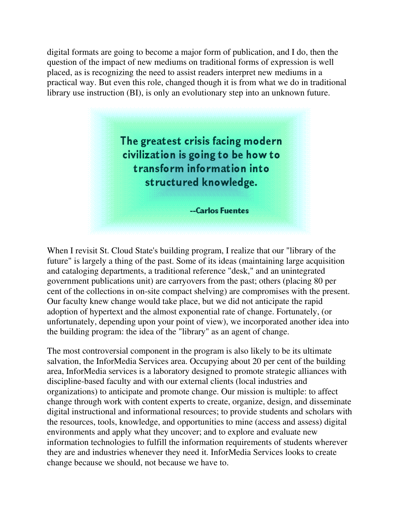digital formats are going to become a major form of publication, and I do, then the question of the impact of new mediums on traditional forms of expression is well placed, as is recognizing the need to assist readers interpret new mediums in a practical way. But even this role, changed though it is from what we do in traditional library use instruction (BI), is only an evolutionary step into an unknown future.



When I revisit St. Cloud State's building program, I realize that our "library of the future" is largely a thing of the past. Some of its ideas (maintaining large acquisition and cataloging departments, a traditional reference "desk," and an unintegrated government publications unit) are carryovers from the past; others (placing 80 per cent of the collections in on-site compact shelving) are compromises with the present. Our faculty knew change would take place, but we did not anticipate the rapid adoption of hypertext and the almost exponential rate of change. Fortunately, (or unfortunately, depending upon your point of view), we incorporated another idea into the building program: the idea of the "library" as an agent of change.

The most controversial component in the program is also likely to be its ultimate salvation, the InforMedia Services area. Occupying about 20 per cent of the building area, InforMedia services is a laboratory designed to promote strategic alliances with discipline-based faculty and with our external clients (local industries and organizations) to anticipate and promote change. Our mission is multiple: to affect change through work with content experts to create, organize, design, and disseminate digital instructional and informational resources; to provide students and scholars with the resources, tools, knowledge, and opportunities to mine (access and assess) digital environments and apply what they uncover; and to explore and evaluate new information technologies to fulfill the information requirements of students wherever they are and industries whenever they need it. InforMedia Services looks to create change because we should, not because we have to.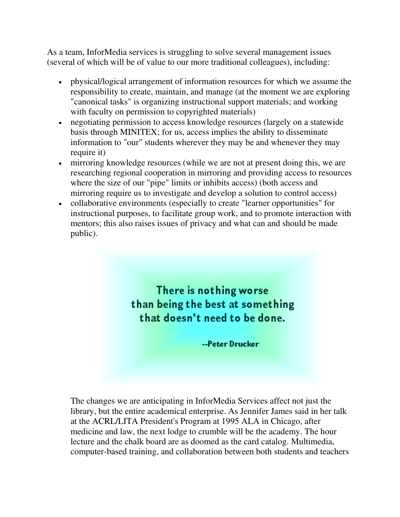As a team, InforMedia services is struggling to solve several management issues (several of which will be of value to our more traditional colleagues), including:

- physical/logical arrangement of information resources for which we assume the responsibility to create, maintain, and manage (at the moment we are exploring "canonical tasks" is organizing instructional support materials; and working with faculty on permission to copyrighted materials)
- negotiating permission to access knowledge resources (largely on a statewide basis through MINITEX; for us, access implies the ability to disseminate information to "our" students wherever they may be and whenever they may require it)
- mirroring knowledge resources (while we are not at present doing this, we are researching regional cooperation in mirroring and providing access to resources where the size of our "pipe" limits or inhibits access) (both access and mirroring require us to investigate and develop a solution to control access)
- collaborative environments (especially to create "learner opportunities" for instructional purposes, to facilitate group work, and to promote interaction with mentors; this also raises issues of privacy and what can and should be made public).



The changes we are anticipating in InforMedia Services affect not just the library, but the entire academical enterprise. As Jennifer James said in her talk at the ACRL/LITA President's Program at 1995 ALA in Chicago, after medicine and law, the next lodge to crumble will be the academy. The hour lecture and the chalk board are as doomed as the card catalog. Multimedia, computer-based training, and collaboration between both students and teachers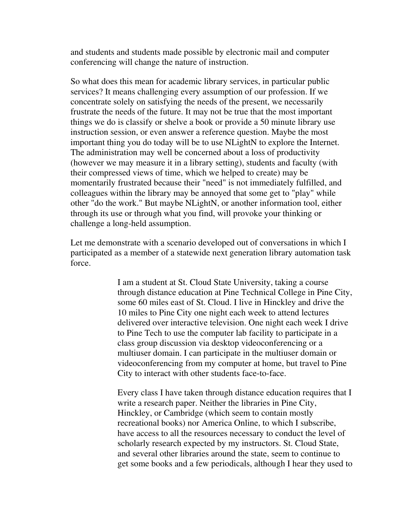and students and students made possible by electronic mail and computer conferencing will change the nature of instruction.

So what does this mean for academic library services, in particular public services? It means challenging every assumption of our profession. If we concentrate solely on satisfying the needs of the present, we necessarily frustrate the needs of the future. It may not be true that the most important things we do is classify or shelve a book or provide a 50 minute library use instruction session, or even answer a reference question. Maybe the most important thing you do today will be to use NLightN to explore the Internet. The administration may well be concerned about a loss of productivity (however we may measure it in a library setting), students and faculty (with their compressed views of time, which we helped to create) may be momentarily frustrated because their "need" is not immediately fulfilled, and colleagues within the library may be annoyed that some get to "play" while other "do the work." But maybe NLightN, or another information tool, either through its use or through what you find, will provoke your thinking or challenge a long-held assumption.

Let me demonstrate with a scenario developed out of conversations in which I participated as a member of a statewide next generation library automation task force.

> I am a student at St. Cloud State University, taking a course through distance education at Pine Technical College in Pine City, some 60 miles east of St. Cloud. I live in Hinckley and drive the 10 miles to Pine City one night each week to attend lectures delivered over interactive television. One night each week I drive to Pine Tech to use the computer lab facility to participate in a class group discussion via desktop videoconferencing or a multiuser domain. I can participate in the multiuser domain or videoconferencing from my computer at home, but travel to Pine City to interact with other students face-to-face.

> Every class I have taken through distance education requires that I write a research paper. Neither the libraries in Pine City, Hinckley, or Cambridge (which seem to contain mostly recreational books) nor America Online, to which I subscribe, have access to all the resources necessary to conduct the level of scholarly research expected by my instructors. St. Cloud State, and several other libraries around the state, seem to continue to get some books and a few periodicals, although I hear they used to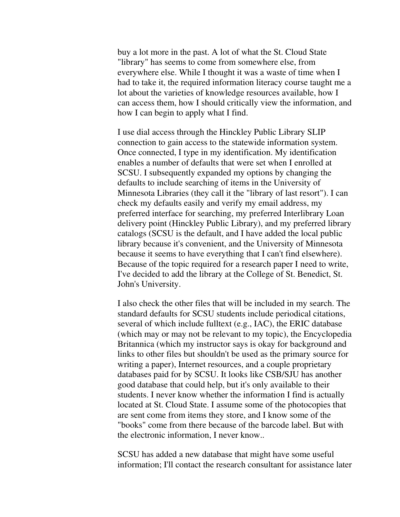buy a lot more in the past. A lot of what the St. Cloud State "library" has seems to come from somewhere else, from everywhere else. While I thought it was a waste of time when I had to take it, the required information literacy course taught me a lot about the varieties of knowledge resources available, how I can access them, how I should critically view the information, and how I can begin to apply what I find.

I use dial access through the Hinckley Public Library SLIP connection to gain access to the statewide information system. Once connected, I type in my identification. My identification enables a number of defaults that were set when I enrolled at SCSU. I subsequently expanded my options by changing the defaults to include searching of items in the University of Minnesota Libraries (they call it the "library of last resort"). I can check my defaults easily and verify my email address, my preferred interface for searching, my preferred Interlibrary Loan delivery point (Hinckley Public Library), and my preferred library catalogs (SCSU is the default, and I have added the local public library because it's convenient, and the University of Minnesota because it seems to have everything that I can't find elsewhere). Because of the topic required for a research paper I need to write, I've decided to add the library at the College of St. Benedict, St. John's University.

I also check the other files that will be included in my search. The standard defaults for SCSU students include periodical citations, several of which include fulltext (e.g., IAC), the ERIC database (which may or may not be relevant to my topic), the Encyclopedia Britannica (which my instructor says is okay for background and links to other files but shouldn't be used as the primary source for writing a paper), Internet resources, and a couple proprietary databases paid for by SCSU. It looks like CSB/SJU has another good database that could help, but it's only available to their students. I never know whether the information I find is actually located at St. Cloud State. I assume some of the photocopies that are sent come from items they store, and I know some of the "books" come from there because of the barcode label. But with the electronic information, I never know..

SCSU has added a new database that might have some useful information; I'll contact the research consultant for assistance later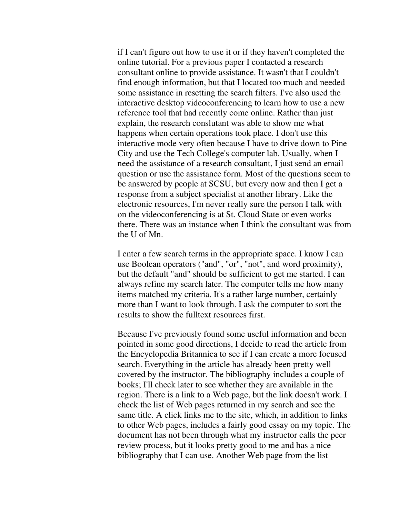if I can't figure out how to use it or if they haven't completed the online tutorial. For a previous paper I contacted a research consultant online to provide assistance. It wasn't that I couldn't find enough information, but that I located too much and needed some assistance in resetting the search filters. I've also used the interactive desktop videoconferencing to learn how to use a new reference tool that had recently come online. Rather than just explain, the research conslutant was able to show me what happens when certain operations took place. I don't use this interactive mode very often because I have to drive down to Pine City and use the Tech College's computer lab. Usually, when I need the assistance of a research consultant, I just send an email question or use the assistance form. Most of the questions seem to be answered by people at SCSU, but every now and then I get a response from a subject specialist at another library. Like the electronic resources, I'm never really sure the person I talk with on the videoconferencing is at St. Cloud State or even works there. There was an instance when I think the consultant was from the U of Mn.

I enter a few search terms in the appropriate space. I know I can use Boolean operators ("and", "or", "not", and word proximity), but the default "and" should be sufficient to get me started. I can always refine my search later. The computer tells me how many items matched my criteria. It's a rather large number, certainly more than I want to look through. I ask the computer to sort the results to show the fulltext resources first.

Because I've previously found some useful information and been pointed in some good directions, I decide to read the article from the Encyclopedia Britannica to see if I can create a more focused search. Everything in the article has already been pretty well covered by the instructor. The bibliography includes a couple of books; I'll check later to see whether they are available in the region. There is a link to a Web page, but the link doesn't work. I check the list of Web pages returned in my search and see the same title. A click links me to the site, which, in addition to links to other Web pages, includes a fairly good essay on my topic. The document has not been through what my instructor calls the peer review process, but it looks pretty good to me and has a nice bibliography that I can use. Another Web page from the list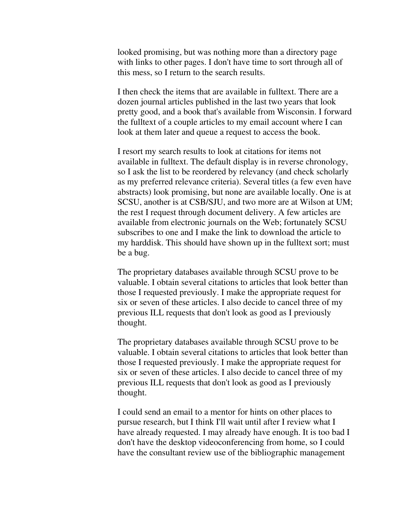looked promising, but was nothing more than a directory page with links to other pages. I don't have time to sort through all of this mess, so I return to the search results.

I then check the items that are available in fulltext. There are a dozen journal articles published in the last two years that look pretty good, and a book that's available from Wisconsin. I forward the fulltext of a couple articles to my email account where I can look at them later and queue a request to access the book.

I resort my search results to look at citations for items not available in fulltext. The default display is in reverse chronology, so I ask the list to be reordered by relevancy (and check scholarly as my preferred relevance criteria). Several titles (a few even have abstracts) look promising, but none are available locally. One is at SCSU, another is at CSB/SJU, and two more are at Wilson at UM; the rest I request through document delivery. A few articles are available from electronic journals on the Web; fortunately SCSU subscribes to one and I make the link to download the article to my harddisk. This should have shown up in the fulltext sort; must be a bug.

The proprietary databases available through SCSU prove to be valuable. I obtain several citations to articles that look better than those I requested previously. I make the appropriate request for six or seven of these articles. I also decide to cancel three of my previous ILL requests that don't look as good as I previously thought.

The proprietary databases available through SCSU prove to be valuable. I obtain several citations to articles that look better than those I requested previously. I make the appropriate request for six or seven of these articles. I also decide to cancel three of my previous ILL requests that don't look as good as I previously thought.

I could send an email to a mentor for hints on other places to pursue research, but I think I'll wait until after I review what I have already requested. I may already have enough. It is too bad I don't have the desktop videoconferencing from home, so I could have the consultant review use of the bibliographic management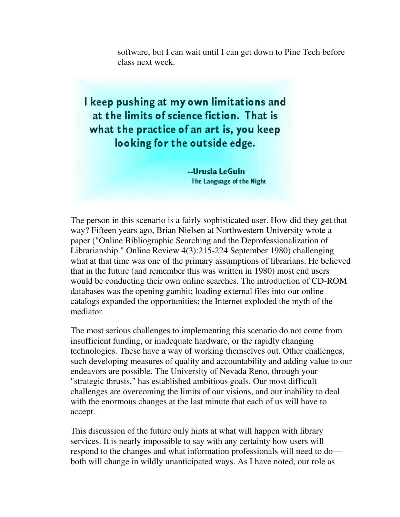software, but I can wait until I can get down to Pine Tech before class next week.

I keep pushing at my own limitations and at the limits of science fiction. That is what the practice of an art is, you keep looking for the outside edge.

> --Urusla LeGuin The Language of the Night

The person in this scenario is a fairly sophisticated user. How did they get that way? Fifteen years ago, Brian Nielsen at Northwestern University wrote a paper ("Online Bibliographic Searching and the Deprofessionalization of Librarianship." Online Review 4(3):215-224 September 1980) challenging what at that time was one of the primary assumptions of librarians. He believed that in the future (and remember this was written in 1980) most end users would be conducting their own online searches. The introduction of CD-ROM databases was the opening gambit; loading external files into our online catalogs expanded the opportunities; the Internet exploded the myth of the mediator.

The most serious challenges to implementing this scenario do not come from insufficient funding, or inadequate hardware, or the rapidly changing technologies. These have a way of working themselves out. Other challenges, such developing measures of quality and accountability and adding value to our endeavors are possible. The University of Nevada Reno, through your "strategic thrusts," has established ambitious goals. Our most difficult challenges are overcoming the limits of our visions, and our inability to deal with the enormous changes at the last minute that each of us will have to accept.

This discussion of the future only hints at what will happen with library services. It is nearly impossible to say with any certainty how users will respond to the changes and what information professionals will need to do both will change in wildly unanticipated ways. As I have noted, our role as